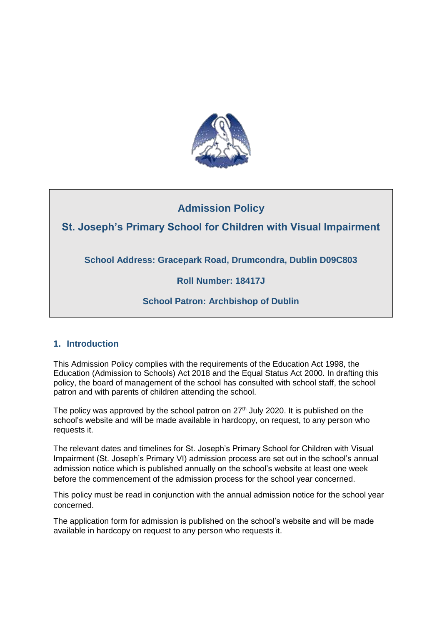

# **Admission Policy**

# **St. Joseph's Primary School for Children with Visual Impairment**

**School Address: Gracepark Road, Drumcondra, Dublin D09C803**

# **Roll Number: 18417J**

# **School Patron: Archbishop of Dublin**

# **1. Introduction**

This Admission Policy complies with the requirements of the Education Act 1998, the Education (Admission to Schools) Act 2018 and the Equal Status Act 2000. In drafting this policy, the board of management of the school has consulted with school staff, the school patron and with parents of children attending the school.

The policy was approved by the school patron on  $27<sup>th</sup>$  July 2020. It is published on the school's website and will be made available in hardcopy, on request, to any person who requests it.

The relevant dates and timelines for St. Joseph's Primary School for Children with Visual Impairment (St. Joseph's Primary VI) admission process are set out in the school's annual admission notice which is published annually on the school's website at least one week before the commencement of the admission process for the school year concerned.

This policy must be read in conjunction with the annual admission notice for the school year concerned.

The application form for admission is published on the school's website and will be made available in hardcopy on request to any person who requests it.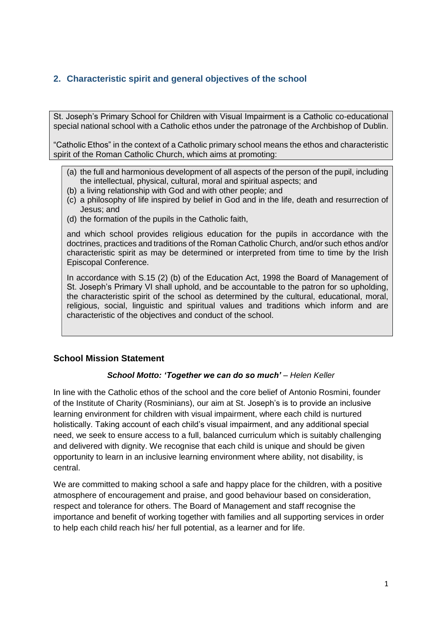# **2. Characteristic spirit and general objectives of the school**

St. Joseph's Primary School for Children with Visual Impairment is a Catholic co-educational special national school with a Catholic ethos under the patronage of the Archbishop of Dublin.

"Catholic Ethos" in the context of a Catholic primary school means the ethos and characteristic spirit of the Roman Catholic Church, which aims at promoting:

- (a) the full and harmonious development of all aspects of the person of the pupil, including the intellectual, physical, cultural, moral and spiritual aspects; and
- (b) a living relationship with God and with other people; and
- (c) a philosophy of life inspired by belief in God and in the life, death and resurrection of Jesus; and
- (d) the formation of the pupils in the Catholic faith,

and which school provides religious education for the pupils in accordance with the doctrines, practices and traditions of the Roman Catholic Church, and/or such ethos and/or characteristic spirit as may be determined or interpreted from time to time by the Irish Episcopal Conference.

In accordance with S.15 (2) (b) of the Education Act, 1998 the Board of Management of St. Joseph's Primary VI shall uphold, and be accountable to the patron for so upholding, the characteristic spirit of the school as determined by the cultural, educational, moral, religious, social, linguistic and spiritual values and traditions which inform and are characteristic of the objectives and conduct of the school.

### **School Mission Statement**

#### *School Motto: 'Together we can do so much' – Helen Keller*

In line with the Catholic ethos of the school and the core belief of Antonio Rosmini, founder of the Institute of Charity (Rosminians), our aim at St. Joseph's is to provide an inclusive learning environment for children with visual impairment, where each child is nurtured holistically. Taking account of each child's visual impairment, and any additional special need, we seek to ensure access to a full, balanced curriculum which is suitably challenging and delivered with dignity. We recognise that each child is unique and should be given opportunity to learn in an inclusive learning environment where ability, not disability, is central.

We are committed to making school a safe and happy place for the children, with a positive atmosphere of encouragement and praise, and good behaviour based on consideration, respect and tolerance for others. The Board of Management and staff recognise the importance and benefit of working together with families and all supporting services in order to help each child reach his/ her full potential, as a learner and for life.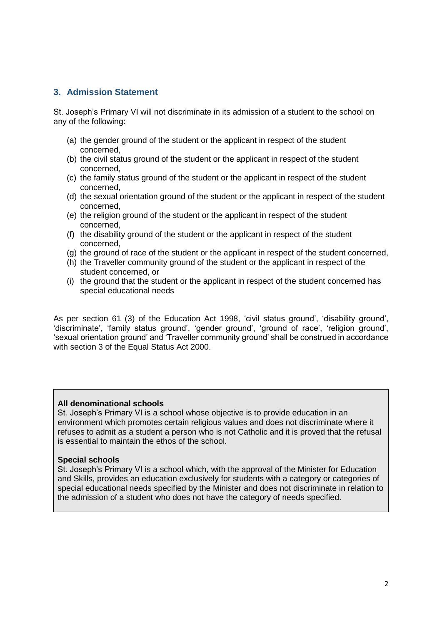#### **3. Admission Statement**

St. Joseph's Primary VI will not discriminate in its admission of a student to the school on any of the following:

- (a) the gender ground of the student or the applicant in respect of the student concerned,
- (b) the civil status ground of the student or the applicant in respect of the student concerned,
- (c) the family status ground of the student or the applicant in respect of the student concerned,
- (d) the sexual orientation ground of the student or the applicant in respect of the student concerned,
- (e) the religion ground of the student or the applicant in respect of the student concerned,
- (f) the disability ground of the student or the applicant in respect of the student concerned,
- (g) the ground of race of the student or the applicant in respect of the student concerned,
- (h) the Traveller community ground of the student or the applicant in respect of the student concerned, or
- (i) the ground that the student or the applicant in respect of the student concerned has special educational needs

As per section 61 (3) of the Education Act 1998, 'civil status ground', 'disability ground', 'discriminate', 'family status ground', 'gender ground', 'ground of race', 'religion ground', 'sexual orientation ground' and 'Traveller community ground' shall be construed in accordance with section 3 of the Equal Status Act 2000.

#### **All denominational schools**

St. Joseph's Primary VI is a school whose objective is to provide education in an environment which promotes certain religious values and does not discriminate where it refuses to admit as a student a person who is not Catholic and it is proved that the refusal is essential to maintain the ethos of the school.

#### **Special schools**

St. Joseph's Primary VI is a school which, with the approval of the Minister for Education and Skills, provides an education exclusively for students with a category or categories of special educational needs specified by the Minister and does not discriminate in relation to the admission of a student who does not have the category of needs specified.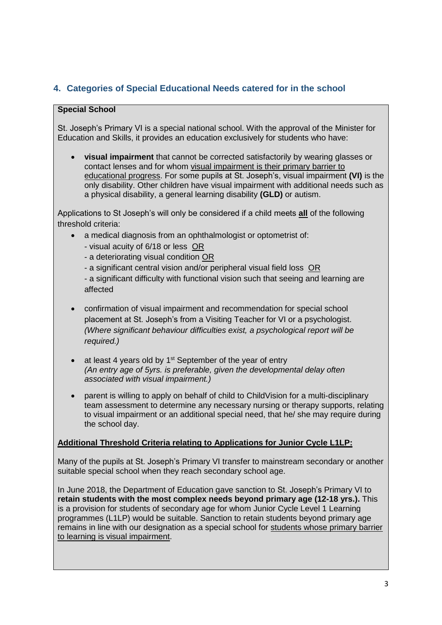# **4. Categories of Special Educational Needs catered for in the school**

#### **Special School**

St. Joseph's Primary VI is a special national school. With the approval of the Minister for Education and Skills, it provides an education exclusively for students who have:

 **visual impairment** that cannot be corrected satisfactorily by wearing glasses or contact lenses and for whom visual impairment is their primary barrier to educational progress. For some pupils at St. Joseph's, visual impairment **(VI)** is the only disability. Other children have visual impairment with additional needs such as a physical disability, a general learning disability **(GLD)** or autism.

Applications to St Joseph's will only be considered if a child meets **all** of the following threshold criteria:

- a medical diagnosis from an ophthalmologist or optometrist of:
	- visual acuity of 6/18 or less OR
	- a deteriorating visual condition OR
	- a significant central vision and/or peripheral visual field loss OR

- a significant difficulty with functional vision such that seeing and learning are affected

- confirmation of visual impairment and recommendation for special school placement at St. Joseph's from a Visiting Teacher for VI or a psychologist. *(Where significant behaviour difficulties exist, a psychological report will be required.)*
- $\bullet$  at least 4 years old by 1<sup>st</sup> September of the year of entry *(An entry age of 5yrs. is preferable, given the developmental delay often associated with visual impairment.)*
- parent is willing to apply on behalf of child to ChildVision for a multi-disciplinary team assessment to determine any necessary nursing or therapy supports, relating to visual impairment or an additional special need, that he/ she may require during the school day.

### **Additional Threshold Criteria relating to Applications for Junior Cycle L1LP:**

Many of the pupils at St. Joseph's Primary VI transfer to mainstream secondary or another suitable special school when they reach secondary school age.

In June 2018, the Department of Education gave sanction to St. Joseph's Primary VI to **retain students with the most complex needs beyond primary age (12-18 yrs.).** This is a provision for students of secondary age for whom Junior Cycle Level 1 Learning programmes (L1LP) would be suitable. Sanction to retain students beyond primary age remains in line with our designation as a special school for students whose primary barrier to learning is visual impairment.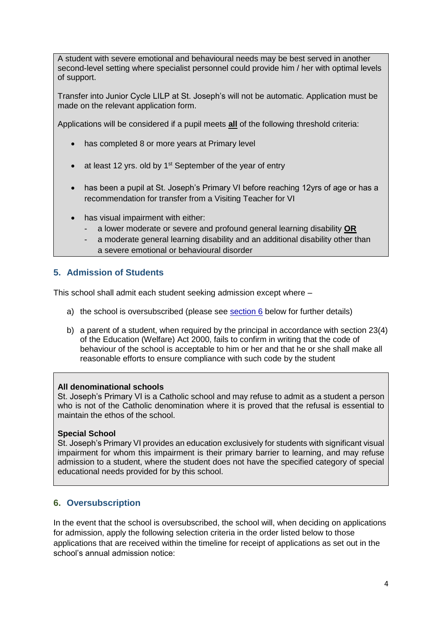A student with severe emotional and behavioural needs may be best served in another second-level setting where specialist personnel could provide him / her with optimal levels of support.

Transfer into Junior Cycle LILP at St. Joseph's will not be automatic. Application must be made on the relevant application form.

Applications will be considered if a pupil meets **all** of the following threshold criteria:

- has completed 8 or more years at Primary level
- at least 12 yrs. old by 1<sup>st</sup> September of the year of entry
- has been a pupil at St. Joseph's Primary VI before reaching 12yrs of age or has a recommendation for transfer from a Visiting Teacher for VI
- has visual impairment with either:
	- a lower moderate or severe and profound general learning disability **OR**
	- a moderate general learning disability and an additional disability other than a severe emotional or behavioural disorder

### **5. Admission of Students**

This school shall admit each student seeking admission except where –

- a) the school is oversubscribed (please see  $section 6$  below for further details)
- b) a parent of a student, when required by the principal in accordance with section 23(4) of the Education (Welfare) Act 2000, fails to confirm in writing that the code of behaviour of the school is acceptable to him or her and that he or she shall make all reasonable efforts to ensure compliance with such code by the student

#### **All denominational schools**

St. Joseph's Primary VI is a Catholic school and may refuse to admit as a student a person who is not of the Catholic denomination where it is proved that the refusal is essential to maintain the ethos of the school.

#### **Special School**

St. Joseph's Primary VI provides an education exclusively for students with significant visual impairment for whom this impairment is their primary barrier to learning, and may refuse admission to a student, where the student does not have the specified category of special educational needs provided for by this school.

# <span id="page-4-0"></span>**6. Oversubscription**

In the event that the school is oversubscribed, the school will, when deciding on applications for admission, apply the following selection criteria in the order listed below to those applications that are received within the timeline for receipt of applications as set out in the school's annual admission notice: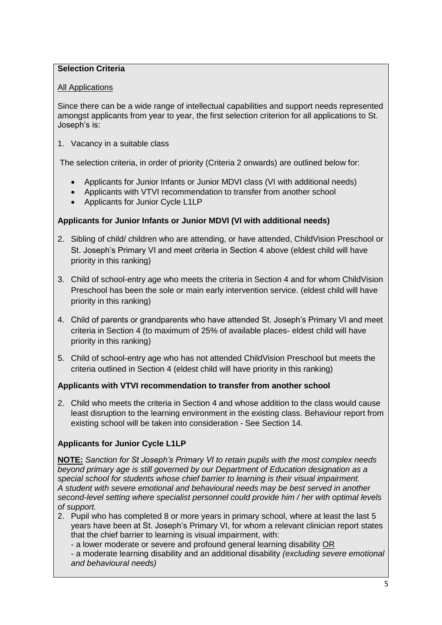### **Selection Criteria**

### All Applications

Since there can be a wide range of intellectual capabilities and support needs represented amongst applicants from year to year, the first selection criterion for all applications to St. Joseph's is:

1. Vacancy in a suitable class

The selection criteria, in order of priority (Criteria 2 onwards) are outlined below for:

- Applicants for Junior Infants or Junior MDVI class (VI with additional needs)
- Applicants with VTVI recommendation to transfer from another school
- Applicants for Junior Cycle L1LP

### **Applicants for Junior Infants or Junior MDVI (VI with additional needs)**

- 2. Sibling of child/ children who are attending, or have attended, ChildVision Preschool or St. Joseph's Primary VI and meet criteria in Section 4 above (eldest child will have priority in this ranking)
- 3. Child of school-entry age who meets the criteria in Section 4 and for whom ChildVision Preschool has been the sole or main early intervention service. (eldest child will have priority in this ranking)
- 4. Child of parents or grandparents who have attended St. Joseph's Primary VI and meet criteria in Section 4 (to maximum of 25% of available places- eldest child will have priority in this ranking)
- 5. Child of school-entry age who has not attended ChildVision Preschool but meets the criteria outlined in Section 4 (eldest child will have priority in this ranking)

# **Applicants with VTVI recommendation to transfer from another school**

2. Child who meets the criteria in Section 4 and whose addition to the class would cause least disruption to the learning environment in the existing class. Behaviour report from existing school will be taken into consideration - See Section 14.

# **Applicants for Junior Cycle L1LP**

**NOTE:** *Sanction for St Joseph's Primary VI to retain pupils with the most complex needs beyond primary age is still governed by our Department of Education designation as a special school for students whose chief barrier to learning is their visual impairment. A student with severe emotional and behavioural needs may be best served in another second-level setting where specialist personnel could provide him / her with optimal levels of support.*

- 2. Pupil who has completed 8 or more years in primary school, where at least the last 5 years have been at St. Joseph's Primary VI, for whom a relevant clinician report states that the chief barrier to learning is visual impairment, with:
	- a lower moderate or severe and profound general learning disability OR

- a moderate learning disability and an additional disability *(excluding severe emotional and behavioural needs)*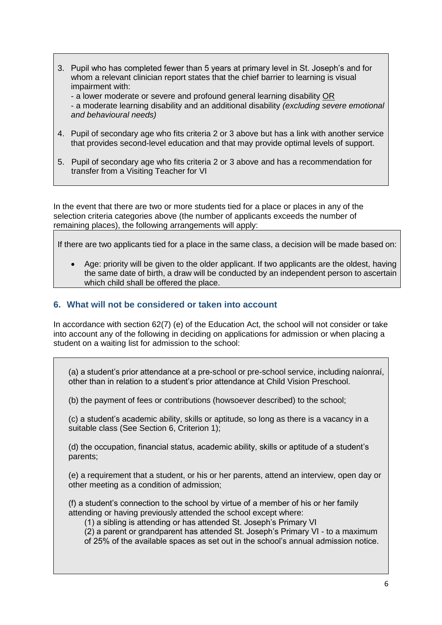3. Pupil who has completed fewer than 5 years at primary level in St. Joseph's and for whom a relevant clinician report states that the chief barrier to learning is visual impairment with:

- a lower moderate or severe and profound general learning disability OR - a moderate learning disability and an additional disability *(excluding severe emotional and behavioural needs)* 

- 4. Pupil of secondary age who fits criteria 2 or 3 above but has a link with another service that provides second-level education and that may provide optimal levels of support.
- 5. Pupil of secondary age who fits criteria 2 or 3 above and has a recommendation for transfer from a Visiting Teacher for VI

In the event that there are two or more students tied for a place or places in any of the selection criteria categories above (the number of applicants exceeds the number of remaining places), the following arrangements will apply:

If there are two applicants tied for a place in the same class, a decision will be made based on:

 Age: priority will be given to the older applicant. If two applicants are the oldest, having the same date of birth, a draw will be conducted by an independent person to ascertain which child shall be offered the place.

#### **6. What will not be considered or taken into account**

In accordance with section 62(7) (e) of the Education Act, the school will not consider or take into account any of the following in deciding on applications for admission or when placing a student on a waiting list for admission to the school:

(a) a student's prior attendance at a pre-school or pre-school service, including naíonraí, other than in relation to a student's prior attendance at Child Vision Preschool.

(b) the payment of fees or contributions (howsoever described) to the school;

(c) a student's academic ability, skills or aptitude, so long as there is a vacancy in a suitable class (See Section 6, Criterion 1);

(d) the occupation, financial status, academic ability, skills or aptitude of a student's parents;

(e) a requirement that a student, or his or her parents, attend an interview, open day or other meeting as a condition of admission;

(f) a student's connection to the school by virtue of a member of his or her family attending or having previously attended the school except where:

(1) a sibling is attending or has attended St. Joseph's Primary VI

(2) a parent or grandparent has attended St. Joseph's Primary VI - to a maximum of 25% of the available spaces as set out in the school's annual admission notice.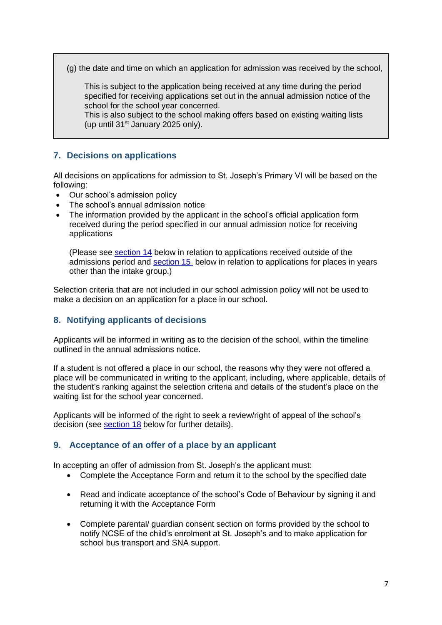(g) the date and time on which an application for admission was received by the school,

This is subject to the application being received at any time during the period specified for receiving applications set out in the annual admission notice of the school for the school year concerned.

This is also subject to the school making offers based on existing waiting lists (up until 31st January 2025 only).

# **7. Decisions on applications**

All decisions on applications for admission to St. Joseph's Primary VI will be based on the following:

- Our school's admission policy
- The school's annual admission notice
- The information provided by the applicant in the school's official application form received during the period specified in our annual admission notice for receiving applications

(Please see [section 14](#page-9-0) below in relation to applications received outside of the admissions period and [section 15](#page-10-0) below in relation to applications for places in years other than the intake group.)

Selection criteria that are not included in our school admission policy will not be used to make a decision on an application for a place in our school.

### **8. Notifying applicants of decisions**

Applicants will be informed in writing as to the decision of the school, within the timeline outlined in the annual admissions notice.

If a student is not offered a place in our school, the reasons why they were not offered a place will be communicated in writing to the applicant, including, where applicable, details of the student's ranking against the selection criteria and details of the student's place on the waiting list for the school year concerned.

Applicants will be informed of the right to seek a review/right of appeal of the school's decision (see [section 18](#page-10-1) below for further details).

### <span id="page-7-0"></span>**9. Acceptance of an offer of a place by an applicant**

In accepting an offer of admission from St. Joseph's the applicant must:

- Complete the Acceptance Form and return it to the school by the specified date
- Read and indicate acceptance of the school's Code of Behaviour by signing it and returning it with the Acceptance Form
- Complete parental/ guardian consent section on forms provided by the school to notify NCSE of the child's enrolment at St. Joseph's and to make application for school bus transport and SNA support.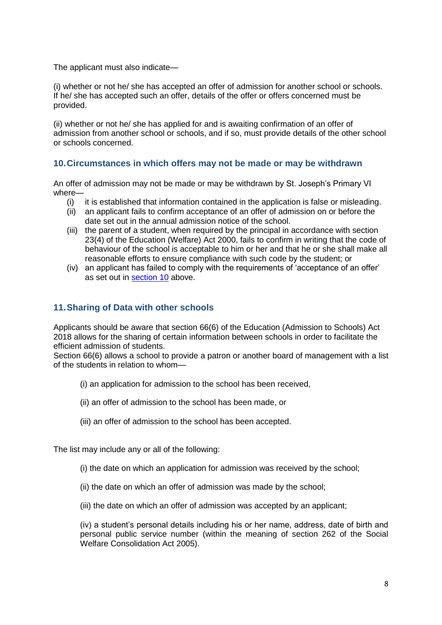The applicant must also indicate—

(i) whether or not he/ she has accepted an offer of admission for another school or schools. If he/ she has accepted such an offer, details of the offer or offers concerned must be provided.

(ii) whether or not he/ she has applied for and is awaiting confirmation of an offer of admission from another school or schools, and if so, must provide details of the other school or schools concerned.

### **10.Circumstances in which offers may not be made or may be withdrawn**

An offer of admission may not be made or may be withdrawn by St. Joseph's Primary VI where—

- (i) it is established that information contained in the application is false or misleading.
- (ii) an applicant fails to confirm acceptance of an offer of admission on or before the date set out in the annual admission notice of the school.
- (iii) the parent of a student, when required by the principal in accordance with section 23(4) of the Education (Welfare) Act 2000, fails to confirm in writing that the code of behaviour of the school is acceptable to him or her and that he or she shall make all reasonable efforts to ensure compliance with such code by the student; or
- (iv) an applicant has failed to comply with the requirements of 'acceptance of an offer' as set out in [section 10](#page-7-0) above.

### **11.Sharing of Data with other schools**

Applicants should be aware that section 66(6) of the Education (Admission to Schools) Act 2018 allows for the sharing of certain information between schools in order to facilitate the efficient admission of students.

Section 66(6) allows a school to provide a patron or another board of management with a list of the students in relation to whom—

- (i) an application for admission to the school has been received,
- (ii) an offer of admission to the school has been made, or
- (iii) an offer of admission to the school has been accepted.

The list may include any or all of the following:

- (i) the date on which an application for admission was received by the school;
- (ii) the date on which an offer of admission was made by the school;
- (iii) the date on which an offer of admission was accepted by an applicant;

(iv) a student's personal details including his or her name, address, date of birth and personal public service number (within the meaning of section 262 of the Social Welfare Consolidation Act 2005).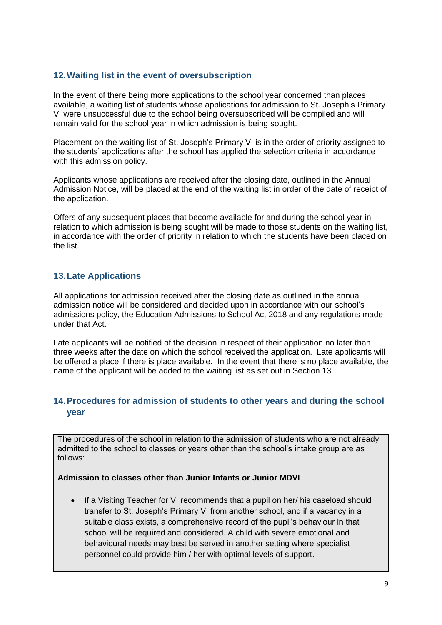### **12.Waiting list in the event of oversubscription**

In the event of there being more applications to the school year concerned than places available, a waiting list of students whose applications for admission to St. Joseph's Primary VI were unsuccessful due to the school being oversubscribed will be compiled and will remain valid for the school year in which admission is being sought.

Placement on the waiting list of St. Joseph's Primary VI is in the order of priority assigned to the students' applications after the school has applied the selection criteria in accordance with this admission policy.

Applicants whose applications are received after the closing date, outlined in the Annual Admission Notice, will be placed at the end of the waiting list in order of the date of receipt of the application.

Offers of any subsequent places that become available for and during the school year in relation to which admission is being sought will be made to those students on the waiting list, in accordance with the order of priority in relation to which the students have been placed on the list.

### **13.Late Applications**

All applications for admission received after the closing date as outlined in the annual admission notice will be considered and decided upon in accordance with our school's admissions policy, the Education Admissions to School Act 2018 and any regulations made under that Act.

Late applicants will be notified of the decision in respect of their application no later than three weeks after the date on which the school received the application. Late applicants will be offered a place if there is place available. In the event that there is no place available, the name of the applicant will be added to the waiting list as set out in Section 13.

### <span id="page-9-0"></span>**14.Procedures for admission of students to other years and during the school year**

The procedures of the school in relation to the admission of students who are not already admitted to the school to classes or years other than the school's intake group are as follows:

### **Admission to classes other than Junior Infants or Junior MDVI**

• If a Visiting Teacher for VI recommends that a pupil on her/ his caseload should transfer to St. Joseph's Primary VI from another school, and if a vacancy in a suitable class exists, a comprehensive record of the pupil's behaviour in that school will be required and considered. A child with severe emotional and behavioural needs may best be served in another setting where specialist personnel could provide him / her with optimal levels of support.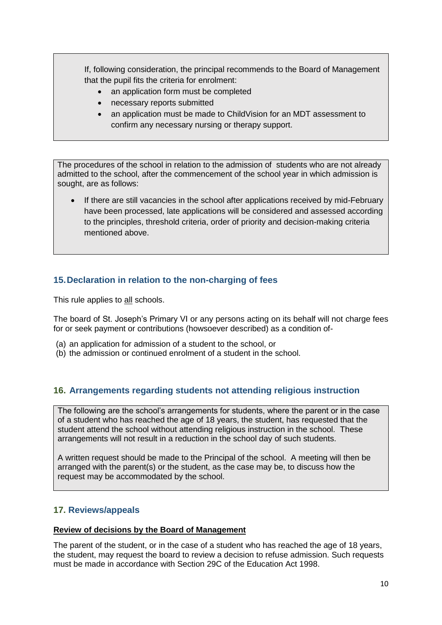If, following consideration, the principal recommends to the Board of Management that the pupil fits the criteria for enrolment:

- an application form must be completed
- necessary reports submitted
- an application must be made to ChildVision for an MDT assessment to confirm any necessary nursing or therapy support.

The procedures of the school in relation to the admission of students who are not already admitted to the school, after the commencement of the school year in which admission is sought, are as follows:

 If there are still vacancies in the school after applications received by mid-February have been processed, late applications will be considered and assessed according to the principles, threshold criteria, order of priority and decision-making criteria mentioned above.

# <span id="page-10-0"></span>**15.Declaration in relation to the non-charging of fees**

This rule applies to all schools.

The board of St. Joseph's Primary VI or any persons acting on its behalf will not charge fees for or seek payment or contributions (howsoever described) as a condition of-

- (a) an application for admission of a student to the school, or
- (b) the admission or continued enrolment of a student in the school.

### **16. Arrangements regarding students not attending religious instruction**

The following are the school's arrangements for students, where the parent or in the case of a student who has reached the age of 18 years, the student, has requested that the student attend the school without attending religious instruction in the school. These arrangements will not result in a reduction in the school day of such students.

A written request should be made to the Principal of the school. A meeting will then be arranged with the parent(s) or the student, as the case may be, to discuss how the request may be accommodated by the school.

# <span id="page-10-1"></span>**17. Reviews/appeals**

#### **Review of decisions by the Board of Management**

The parent of the student, or in the case of a student who has reached the age of 18 years, the student, may request the board to review a decision to refuse admission. Such requests must be made in accordance with Section 29C of the Education Act 1998.